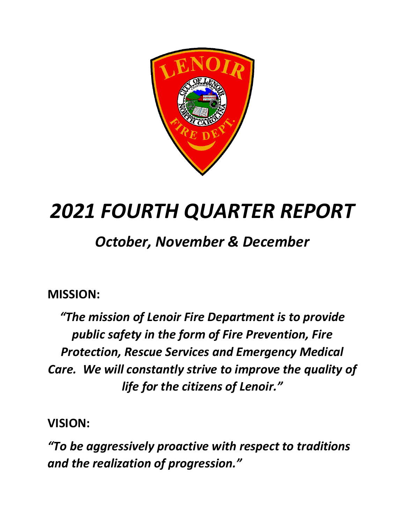

# *2021 FOURTH QUARTER REPORT*

## *October, November & December*

### **MISSION:**

*"The mission of Lenoir Fire Department is to provide public safety in the form of Fire Prevention, Fire Protection, Rescue Services and Emergency Medical Care. We will constantly strive to improve the quality of life for the citizens of Lenoir."*

**VISION:**

*"To be aggressively proactive with respect to traditions and the realization of progression."*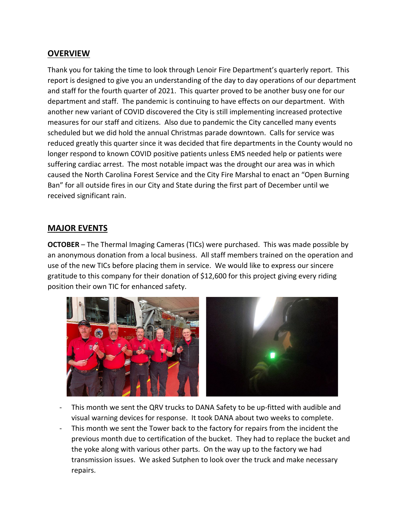#### **OVERVIEW**

Thank you for taking the time to look through Lenoir Fire Department's quarterly report. This report is designed to give you an understanding of the day to day operations of our department and staff for the fourth quarter of 2021. This quarter proved to be another busy one for our department and staff. The pandemic is continuing to have effects on our department. With another new variant of COVID discovered the City is still implementing increased protective measures for our staff and citizens. Also due to pandemic the City cancelled many events scheduled but we did hold the annual Christmas parade downtown. Calls for service was reduced greatly this quarter since it was decided that fire departments in the County would no longer respond to known COVID positive patients unless EMS needed help or patients were suffering cardiac arrest. The most notable impact was the drought our area was in which caused the North Carolina Forest Service and the City Fire Marshal to enact an "Open Burning Ban" for all outside fires in our City and State during the first part of December until we received significant rain.

#### **MAJOR EVENTS**

**OCTOBER** – The Thermal Imaging Cameras (TICs) were purchased. This was made possible by an anonymous donation from a local business. All staff members trained on the operation and use of the new TICs before placing them in service. We would like to express our sincere gratitude to this company for their donation of \$12,600 for this project giving every riding position their own TIC for enhanced safety.



- This month we sent the QRV trucks to DANA Safety to be up-fitted with audible and visual warning devices for response. It took DANA about two weeks to complete.
- This month we sent the Tower back to the factory for repairs from the incident the previous month due to certification of the bucket. They had to replace the bucket and the yoke along with various other parts. On the way up to the factory we had transmission issues. We asked Sutphen to look over the truck and make necessary repairs.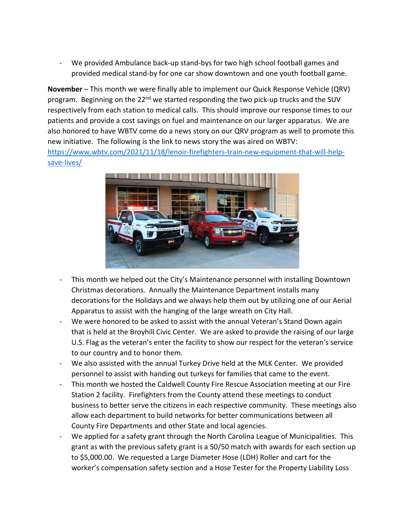- We provided Ambulance back-up stand-bys for two high school football games and provided medical stand-by for one car show downtown and one youth football game.

**November** – This month we were finally able to implement our Quick Response Vehicle (QRV) program. Beginning on the 22<sup>nd</sup> we started responding the two pick-up trucks and the SUV respectively from each station to medical calls. This should improve our response times to our patients and provide a cost savings on fuel and maintenance on our larger apparatus. We are also honored to have WBTV come do a news story on our QRV program as well to promote this new initiative. The following is the link to news story the was aired on WBTV: [https://www.wbtv.com/2021/11/18/lenoir-firefighters-train-new-equipment-that-will-help](https://www.wbtv.com/2021/11/18/lenoir-firefighters-train-new-equipment-that-will-help-save-lives/)[save-lives/](https://www.wbtv.com/2021/11/18/lenoir-firefighters-train-new-equipment-that-will-help-save-lives/)



- This month we helped out the City's Maintenance personnel with installing Downtown Christmas decorations. Annually the Maintenance Department installs many decorations for the Holidays and we always help them out by utilizing one of our Aerial Apparatus to assist with the hanging of the large wreath on City Hall.
- We were honored to be asked to assist with the annual Veteran's Stand Down again that is held at the Broyhill Civic Center. We are asked to provide the raising of our large U.S. Flag as the veteran's enter the facility to show our respect for the veteran's service to our country and to honor them.
- We also assisted with the annual Turkey Drive held at the MLK Center. We provided personnel to assist with handing out turkeys for families that came to the event.
- This month we hosted the Caldwell County Fire Rescue Association meeting at our Fire Station 2 facility. Firefighters from the County attend these meetings to conduct business to better serve the citizens in each respective community. These meetings also allow each department to build networks for better communications between all County Fire Departments and other State and local agencies.
- We applied for a safety grant through the North Carolina League of Municipalities. This grant as with the previous safety grant is a 50/50 match with awards for each section up to \$5,000.00. We requested a Large Diameter Hose (LDH) Roller and cart for the worker's compensation safety section and a Hose Tester for the Property Liability Loss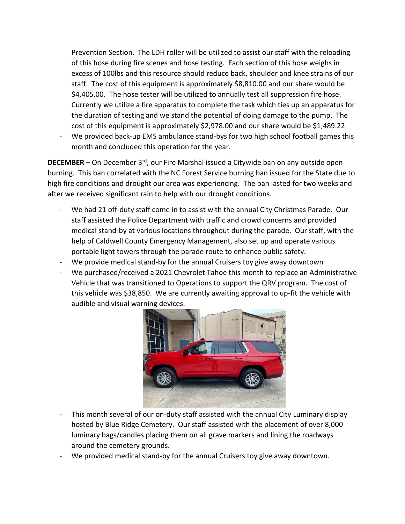Prevention Section. The LDH roller will be utilized to assist our staff with the reloading of this hose during fire scenes and hose testing. Each section of this hose weighs in excess of 100lbs and this resource should reduce back, shoulder and knee strains of our staff. The cost of this equipment is approximately \$8,810.00 and our share would be \$4,405.00. The hose tester will be utilized to annually test all suppression fire hose. Currently we utilize a fire apparatus to complete the task which ties up an apparatus for the duration of testing and we stand the potential of doing damage to the pump. The cost of this equipment is approximately \$2,978.00 and our share would be \$1,489.22

We provided back-up EMS ambulance stand-bys for two high school football games this month and concluded this operation for the year.

**DECEMBER** – On December 3<sup>rd</sup>, our Fire Marshal issued a Citywide ban on any outside open burning. This ban correlated with the NC Forest Service burning ban issued for the State due to high fire conditions and drought our area was experiencing. The ban lasted for two weeks and after we received significant rain to help with our drought conditions.

- We had 21 off-duty staff come in to assist with the annual City Christmas Parade. Our staff assisted the Police Department with traffic and crowd concerns and provided medical stand-by at various locations throughout during the parade. Our staff, with the help of Caldwell County Emergency Management, also set up and operate various portable light towers through the parade route to enhance public safety.
- We provide medical stand-by for the annual Cruisers toy give away downtown
- We purchased/received a 2021 Chevrolet Tahoe this month to replace an Administrative Vehicle that was transitioned to Operations to support the QRV program. The cost of this vehicle was \$38,850. We are currently awaiting approval to up-fit the vehicle with audible and visual warning devices.



- This month several of our on-duty staff assisted with the annual City Luminary display hosted by Blue Ridge Cemetery. Our staff assisted with the placement of over 8,000 luminary bags/candles placing them on all grave markers and lining the roadways around the cemetery grounds.
- We provided medical stand-by for the annual Cruisers toy give away downtown.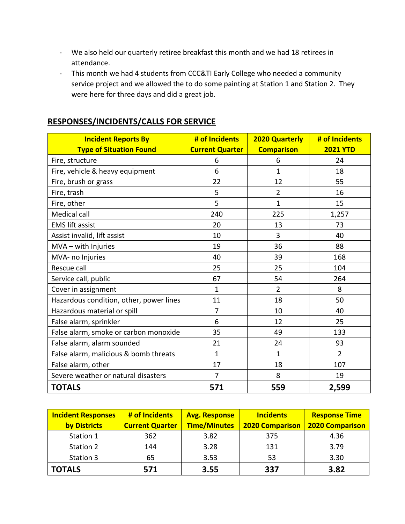- We also held our quarterly retiree breakfast this month and we had 18 retirees in attendance.
- This month we had 4 students from CCC&TI Early College who needed a community service project and we allowed the to do some painting at Station 1 and Station 2. They were here for three days and did a great job.

| <b>Incident Reports By</b><br><b>Type of Situation Found</b> | # of Incidents<br><b>Current Quarter</b> | <b>2020 Quarterly</b><br><b>Comparison</b> | # of Incidents<br><b>2021 YTD</b> |
|--------------------------------------------------------------|------------------------------------------|--------------------------------------------|-----------------------------------|
| Fire, structure                                              | 6                                        | 6                                          | 24                                |
| Fire, vehicle & heavy equipment                              | 6                                        | 1                                          | 18                                |
| Fire, brush or grass                                         | 22                                       | 12                                         | 55                                |
| Fire, trash                                                  | 5                                        | $\overline{2}$                             | 16                                |
| Fire, other                                                  | 5                                        | 1                                          | 15                                |
| <b>Medical call</b>                                          | 240                                      | 225                                        | 1,257                             |
| <b>EMS lift assist</b>                                       | 20                                       | 13                                         | 73                                |
| Assist invalid, lift assist                                  | 10                                       | 3                                          | 40                                |
| MVA - with Injuries                                          | 19                                       | 36                                         | 88                                |
| MVA- no Injuries                                             | 40                                       | 39                                         | 168                               |
| Rescue call                                                  | 25                                       | 25                                         | 104                               |
| Service call, public                                         | 67                                       | 54                                         | 264                               |
| Cover in assignment                                          | 1                                        | $\overline{2}$                             | 8                                 |
| Hazardous condition, other, power lines                      | 11                                       | 18                                         | 50                                |
| Hazardous material or spill                                  | $\overline{7}$                           | 10                                         | 40                                |
| False alarm, sprinkler                                       | 6                                        | 12                                         | 25                                |
| False alarm, smoke or carbon monoxide                        | 35                                       | 49                                         | 133                               |
| False alarm, alarm sounded                                   | 21                                       | 24                                         | 93                                |
| False alarm, malicious & bomb threats                        | $\mathbf{1}$                             | 1                                          | $\overline{2}$                    |
| False alarm, other                                           | 17                                       | 18                                         | 107                               |
| Severe weather or natural disasters                          | $\overline{7}$                           | 8                                          | 19                                |
| <b>TOTALS</b>                                                | 571                                      | 559                                        | 2,599                             |

#### **RESPONSES/INCIDENTS/CALLS FOR SERVICE**

| <b>Incident Responses</b> | # of Incidents         | <b>Avg. Response</b> | <b>Incidents</b>       | <b>Response Time</b>   |
|---------------------------|------------------------|----------------------|------------------------|------------------------|
| by Districts              | <b>Current Quarter</b> | <b>Time/Minutes</b>  | <b>2020 Comparison</b> | <b>2020 Comparison</b> |
| Station 1                 | 362                    | 3.82                 | 375                    | 4.36                   |
| Station 2                 | 144                    | 3.28                 | 131                    | 3.79                   |
| Station 3                 | 65                     | 3.53                 | 53                     | 3.30                   |
| <b>TOTALS</b>             | 571                    | 3.55                 | 337                    | 3.82                   |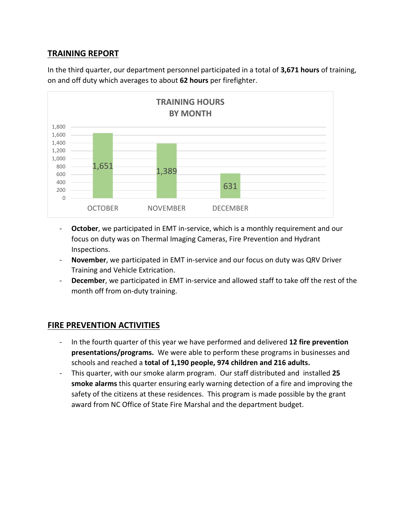#### **TRAINING REPORT**

In the third quarter, our department personnel participated in a total of **3,671 hours** of training, on and off duty which averages to about **62 hours** per firefighter.



- **October**, we participated in EMT in-service, which is a monthly requirement and our focus on duty was on Thermal Imaging Cameras, Fire Prevention and Hydrant Inspections.
- **November**, we participated in EMT in-service and our focus on duty was QRV Driver Training and Vehicle Extrication.
- **December**, we participated in EMT in-service and allowed staff to take off the rest of the month off from on-duty training.

#### **FIRE PREVENTION ACTIVITIES**

- In the fourth quarter of this year we have performed and delivered **12 fire prevention presentations/programs.** We were able to perform these programs in businesses and schools and reached a **total of 1,190 people, 974 children and 216 adults.**
- This quarter, with our smoke alarm program. Our staff distributed and installed **25 smoke alarms** this quarter ensuring early warning detection of a fire and improving the safety of the citizens at these residences. This program is made possible by the grant award from NC Office of State Fire Marshal and the department budget.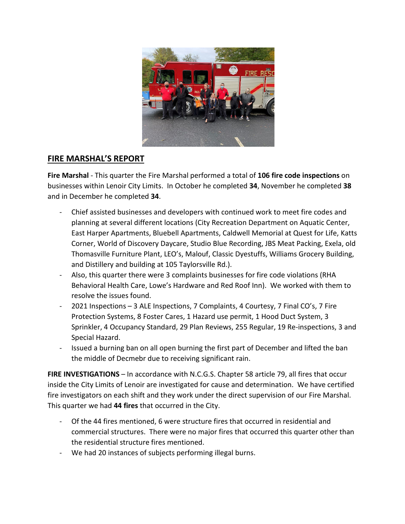

#### **FIRE MARSHAL'S REPORT**

**Fire Marshal** - This quarter the Fire Marshal performed a total of **106 fire code inspections** on businesses within Lenoir City Limits. In October he completed **34**, November he completed **38** and in December he completed **34**.

- Chief assisted businesses and developers with continued work to meet fire codes and planning at several different locations (City Recreation Department on Aquatic Center, East Harper Apartments, Bluebell Apartments, Caldwell Memorial at Quest for Life, Katts Corner, World of Discovery Daycare, Studio Blue Recording, JBS Meat Packing, Exela, old Thomasville Furniture Plant, LEO's, Malouf, Classic Dyestuffs, Williams Grocery Building, and Distillery and building at 105 Taylorsville Rd.).
- Also, this quarter there were 3 complaints businesses for fire code violations (RHA Behavioral Health Care, Lowe's Hardware and Red Roof Inn). We worked with them to resolve the issues found.
- 2021 Inspections 3 ALE Inspections, 7 Complaints, 4 Courtesy, 7 Final CO's, 7 Fire Protection Systems, 8 Foster Cares, 1 Hazard use permit, 1 Hood Duct System, 3 Sprinkler, 4 Occupancy Standard, 29 Plan Reviews, 255 Regular, 19 Re-inspections, 3 and Special Hazard.
- Issued a burning ban on all open burning the first part of December and lifted the ban the middle of Decmebr due to receiving significant rain.

**FIRE INVESTIGATIONS** – In accordance with N.C.G.S. Chapter 58 article 79, all fires that occur inside the City Limits of Lenoir are investigated for cause and determination. We have certified fire investigators on each shift and they work under the direct supervision of our Fire Marshal. This quarter we had **44 fires** that occurred in the City.

- Of the 44 fires mentioned, 6 were structure fires that occurred in residential and commercial structures. There were no major fires that occurred this quarter other than the residential structure fires mentioned.
- We had 20 instances of subjects performing illegal burns.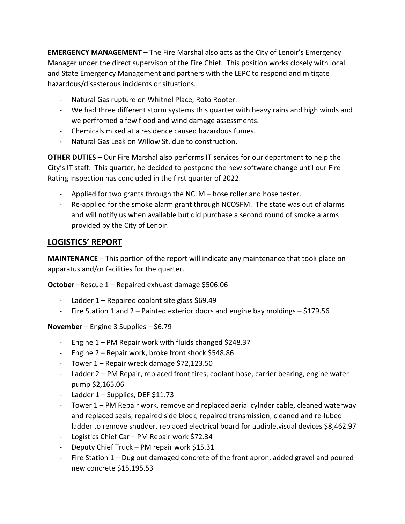**EMERGENCY MANAGEMENT** – The Fire Marshal also acts as the City of Lenoir's Emergency Manager under the direct supervison of the Fire Chief. This position works closely with local and State Emergency Management and partners with the LEPC to respond and mitigate hazardous/disasterous incidents or situations.

- Natural Gas rupture on Whitnel Place, Roto Rooter.
- We had three different storm systems this quarter with heavy rains and high winds and we perfromed a few flood and wind damage assessments.
- Chemicals mixed at a residence caused hazardous fumes.
- Natural Gas Leak on Willow St. due to construction.

**OTHER DUTIES** – Our Fire Marshal also performs IT services for our department to help the City's IT staff. This quarter, he decided to postpone the new software change until our Fire Rating Inspection has concluded in the first quarter of 2022.

- Applied for two grants through the NCLM hose roller and hose tester.
- Re-applied for the smoke alarm grant through NCOSFM. The state was out of alarms and will notify us when available but did purchase a second round of smoke alarms provided by the City of Lenoir.

#### **LOGISTICS' REPORT**

**MAINTENANCE** – This portion of the report will indicate any maintenance that took place on apparatus and/or facilities for the quarter.

**October** –Rescue 1 – Repaired exhuast damage \$506.06

- Ladder  $1 -$  Repaired coolant site glass \$69.49
- Fire Station 1 and 2 Painted exterior doors and engine bay moldings \$179.56

**November** – Engine 3 Supplies – \$6.79

- Engine 1 PM Repair work with fluids changed \$248.37
- Engine 2 Repair work, broke front shock \$548.86
- Tower 1 Repair wreck damage \$72,123.50
- Ladder 2 PM Repair, replaced front tires, coolant hose, carrier bearing, engine water pump \$2,165.06
- Ladder 1 Supplies, DEF \$11.73
- Tower 1 PM Repair work, remove and replaced aerial cylnder cable, cleaned waterway and replaced seals, repaired side block, repaired transmission, cleaned and re-lubed ladder to remove shudder, replaced electrical board for audible.visual devices \$8,462.97
- Logistics Chief Car PM Repair work \$72.34
- Deputy Chief Truck PM repair work \$15.31
- Fire Station 1 Dug out damaged concrete of the front apron, added gravel and poured new concrete \$15,195.53